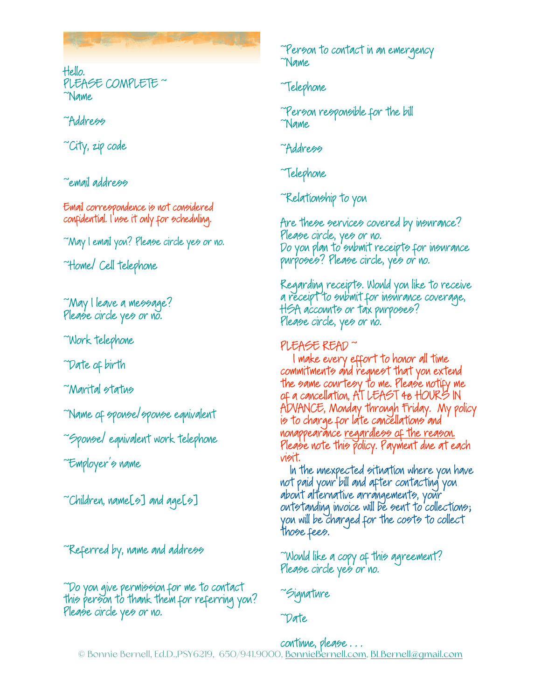Hello. PLEASE COMPLETE ~ ~Name

## ~Address

~City, zip code

~email address

Email correspondence is not considered confidential. I use it only for scheduling.

~May I email you? Please circle yes or no.

~Home/ Cell telephone

~May I leave a message? Please circle yes or no.

~Work telephone

~Date of birth

~Marital status

~Name of spouse/spouse equivalent

~Spouse/ equivalent work telephone

~Employer's name

 $\tilde{\phantom{a}}$ Children, name[s] and age[s]

~Referred by, name and address

~Do you give permission for me to contact this person to thank them for referring you? Please circle yes or no.

~Person to contact in an emergency ~Name

~Telephone

~Person responsible for the bill ~Name

~Address

~Telephone

~Relationship to you

Are these services covered by insurance? Please circle, yes or no. Do you plan to submit receipts for insurance purposes? Please circle, yes or no.

Regarding receipts. Would you like to receive a receipt to submit for insurance coverage, HSA accounts or tax purposes? Please circle, yes or no.

## PLEASE READ ~

 I make every effort to honor all time commitments and request that you extend the same courtesy to me. Please notify me of a cancellation, AT LEAST 48 HOURS IN ADVANCE, Monday through Friday. My policy is to charge for late cancellations and nonappearance regardless of the reason. Please note this policy. Payment due at each visit.

 In the unexpected situation where you have not paid your bill and after contacting you about alternative arrangements, your outstanding invoice will be sent to collections; you will be charged for the costs to collect those fees.

~Would like a copy of this agreement? Please circle yes or no.

~Signature

~Date

continue, please . . .

© Bonnie Bernell, Ed.D.,PSY6219, 650/941.9000, [BonnieBernell.com,](http://BonnieBernell.com) [BLBernell@gmail.com](mailto:BLBernell@gmail.com)